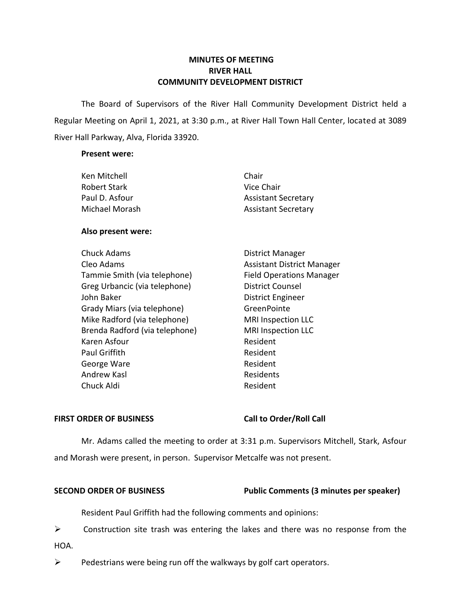# **MINUTES OF MEETING RIVER HALL COMMUNITY DEVELOPMENT DISTRICT**

 The Board of Supervisors of the River Hall Community Development District held a Regular Meeting on April 1, 2021, at 3:30 p.m., at River Hall Town Hall Center, located at 3089 River Hall Parkway, Alva, Florida 33920.

### **Present were:**

| Ken Mitchell   | Chair                      |
|----------------|----------------------------|
| Robert Stark   | Vice Chair                 |
| Paul D. Asfour | <b>Assistant Secretary</b> |
| Michael Morash | <b>Assistant Secretary</b> |

# **Also present were:**

| <b>Chuck Adams</b>             | <b>District Manager</b>           |
|--------------------------------|-----------------------------------|
| Cleo Adams                     | <b>Assistant District Manager</b> |
| Tammie Smith (via telephone)   | <b>Field Operations Manager</b>   |
| Greg Urbancic (via telephone)  | <b>District Counsel</b>           |
| John Baker                     | <b>District Engineer</b>          |
| Grady Miars (via telephone)    | GreenPointe                       |
| Mike Radford (via telephone)   | <b>MRI Inspection LLC</b>         |
| Brenda Radford (via telephone) | <b>MRI Inspection LLC</b>         |
| Karen Asfour                   | Resident                          |
| Paul Griffith                  | Resident                          |
| George Ware                    | Resident                          |
| Andrew Kasl                    | Residents                         |
| Chuck Aldi                     | Resident                          |
|                                |                                   |

# FIRST ORDER OF BUSINESS Call to Order/Roll Call

 Mr. Adams called the meeting to order at 3:31 p.m. Supervisors Mitchell, Stark, Asfour and Morash were present, in person. Supervisor Metcalfe was not present.

# **SECOND ORDER OF BUSINESS** Public Comments (3 minutes per speaker)

Resident Paul Griffith had the following comments and opinions:

 $\triangleright$  Construction site trash was entering the lakes and there was no response from the HOA.

 $\triangleright$  Pedestrians were being run off the walkways by golf cart operators.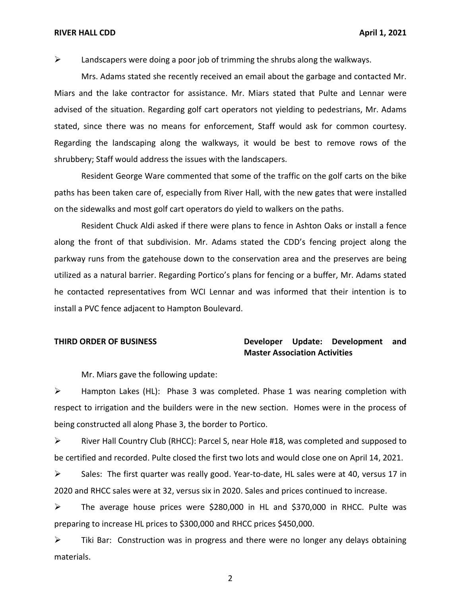### **RIVER HALL CDD April 1, 2021**

 $\triangleright$  Landscapers were doing a poor job of trimming the shrubs along the walkways.

 Mrs. Adams stated she recently received an email about the garbage and contacted Mr. Miars and the lake contractor for assistance. Mr. Miars stated that Pulte and Lennar were advised of the situation. Regarding golf cart operators not yielding to pedestrians, Mr. Adams stated, since there was no means for enforcement, Staff would ask for common courtesy. Regarding the landscaping along the walkways, it would be best to remove rows of the shrubbery; Staff would address the issues with the landscapers.

 Resident George Ware commented that some of the traffic on the golf carts on the bike paths has been taken care of, especially from River Hall, with the new gates that were installed on the sidewalks and most golf cart operators do yield to walkers on the paths.

 Resident Chuck Aldi asked if there were plans to fence in Ashton Oaks or install a fence along the front of that subdivision. Mr. Adams stated the CDD's fencing project along the he contacted representatives from WCI Lennar and was informed that their intention is to install a PVC fence adjacent to Hampton Boulevard. parkway runs from the gatehouse down to the conservation area and the preserves are being utilized as a natural barrier. Regarding Portico's plans for fencing or a buffer, Mr. Adams stated

# **THIRD ORDER OF BUSINESS Developer Update: Development and Master Association Activities**

Mr. Miars gave the following update:

 ➢ Hampton Lakes (HL): Phase 3 was completed. Phase 1 was nearing completion with respect to irrigation and the builders were in the new section. Homes were in the process of being constructed all along Phase 3, the border to Portico.

 ➢ River Hall Country Club (RHCC): Parcel S, near Hole #18, was completed and supposed to be certified and recorded. Pulte closed the first two lots and would close one on April 14, 2021.

 ➢ Sales: The first quarter was really good. Year-to-date, HL sales were at 40, versus 17 in 2020 and RHCC sales were at 32, versus six in 2020. Sales and prices continued to increase.

➢ The average house prices were \$280,000 in HL and \$370,000 in RHCC. Pulte was preparing to increase HL prices to \$300,000 and RHCC prices \$450,000.

 $\triangleright$  Tiki Bar: Construction was in progress and there were no longer any delays obtaining materials.

2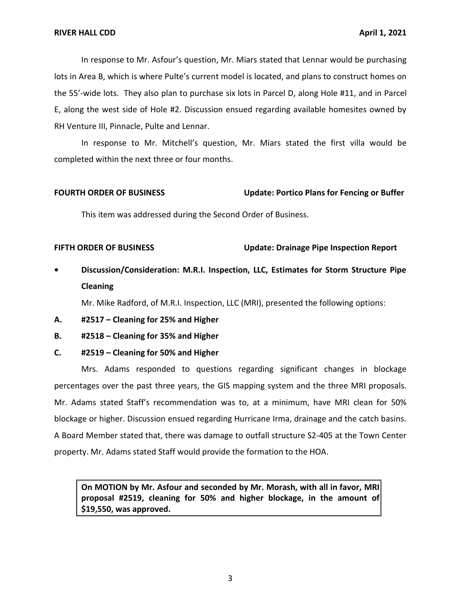In response to Mr. Asfour's question, Mr. Miars stated that Lennar would be purchasing the 55'-wide lots. They also plan to purchase six lots in Parcel D, along Hole #11, and in Parcel E, along the west side of Hole #2. Discussion ensued regarding available homesites owned by RH Venture III, Pinnacle, Pulte and Lennar. lots in Area B, which is where Pulte's current model is located, and plans to construct homes on

 In response to Mr. Mitchell's question, Mr. Miars stated the first villa would be completed within the next three or four months.

### **FOURTH ORDER OF BUSINESS** Update: Portico Plans for Fencing or Buffer

This item was addressed during the Second Order of Business.

### **FIFTH ORDER OF BUSINESS** Update: Drainage Pipe Inspection Report

 **• Discussion/Consideration: M.R.I. Inspection, LLC, Estimates for Storm Structure Pipe Cleaning** 

Mr. Mike Radford, of M.R.I. Inspection, LLC (MRI), presented the following options:

 **A. #2517 – Cleaning for 25% and Higher** 

# **B. #2518 – Cleaning for 35% and Higher**

 **C. #2519 – Cleaning for 50% and Higher** 

 Mrs. Adams responded to questions regarding significant changes in blockage percentages over the past three years, the GIS mapping system and the three MRI proposals. Mr. Adams stated Staff's recommendation was to, at a minimum, have MRI clean for 50% blockage or higher. Discussion ensued regarding Hurricane Irma, drainage and the catch basins. A Board Member stated that, there was damage to outfall structure S2-405 at the Town Center property. Mr. Adams stated Staff would provide the formation to the HOA.

 **On MOTION by Mr. Asfour and seconded by Mr. Morash, with all in favor, MRI proposal #2519, cleaning for 50% and higher blockage, in the amount of \$19,550, was approved.**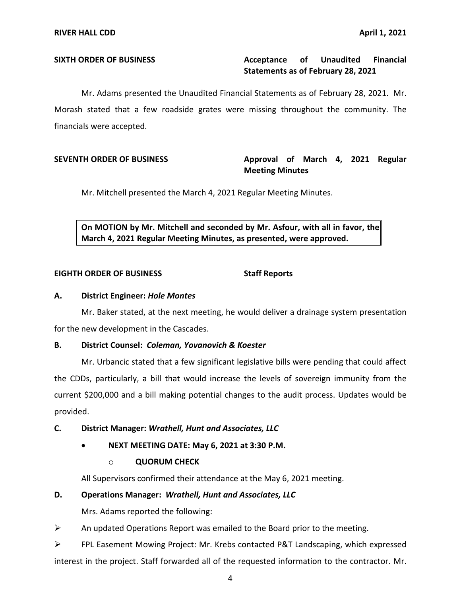### Acceptance of  **Statements as of February 28, 2021 SIXTH ORDER OF BUSINESS Acceptance of Unaudited Financial**

 Mr. Adams presented the Unaudited Financial Statements as of February 28, 2021. Mr. Morash stated that a few roadside grates were missing throughout the community. The financials were accepted.

# SEVENTH ORDER OF BUSINESS **Approval of March 4, 2021 Regular Meeting Minutes**

Mr. Mitchell presented the March 4, 2021 Regular Meeting Minutes.

 **On MOTION by Mr. Mitchell and seconded by Mr. Asfour, with all in favor, the March 4, 2021 Regular Meeting Minutes, as presented, were approved.** 

### **EIGHTH ORDER OF BUSINESS Staff Reports**

### **A. District Engineer:** *Hole Montes*

 Mr. Baker stated, at the next meeting, he would deliver a drainage system presentation for the new development in the Cascades.

### **B. District Counsel:** *Coleman, Yovanovich & Koester*

 Mr. Urbancic stated that a few significant legislative bills were pending that could affect the CDDs, particularly, a bill that would increase the levels of sovereign immunity from the current \$200,000 and a bill making potential changes to the audit process. Updates would be provided.

# **C. District Manager:** *Wrathell, Hunt and Associates, LLC*

 • **NEXT MEETING DATE: May 6, 2021 at 3:30 P.M.** 

### o **QUORUM CHECK**

All Supervisors confirmed their attendance at the May 6, 2021 meeting.

### **D. Operations Manager:** *Wrathell, Hunt and Associates, LLC*

Mrs. Adams reported the following:

 $\triangleright$  An updated Operations Report was emailed to the Board prior to the meeting.

 ➢ FPL Easement Mowing Project: Mr. Krebs contacted P&T Landscaping, which expressed interest in the project. Staff forwarded all of the requested information to the contractor. Mr.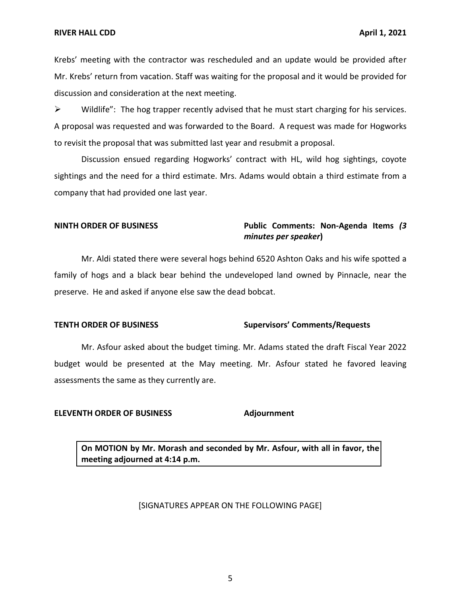Krebs' meeting with the contractor was rescheduled and an update would be provided after Mr. Krebs' return from vacation. Staff was waiting for the proposal and it would be provided for discussion and consideration at the next meeting.

 $\triangleright$  Wildlife": The hog trapper recently advised that he must start charging for his services. A proposal was requested and was forwarded to the Board. A request was made for Hogworks to revisit the proposal that was submitted last year and resubmit a proposal.

 Discussion ensued regarding Hogworks' contract with HL, wild hog sightings, coyote sightings and the need for a third estimate. Mrs. Adams would obtain a third estimate from a company that had provided one last year.

# **NINTH ORDER OF BUSINESS Public Comments: Non-Agenda Items** *(3 minutes per speaker***)**

 Mr. Aldi stated there were several hogs behind 6520 Ashton Oaks and his wife spotted a family of hogs and a black bear behind the undeveloped land owned by Pinnacle, near the preserve. He and asked if anyone else saw the dead bobcat.

### **TENTH ORDER OF BUSINESS Supervisors' Comments/Requests**

 Mr. Asfour asked about the budget timing. Mr. Adams stated the draft Fiscal Year 2022 budget would be presented at the May meeting. Mr. Asfour stated he favored leaving assessments the same as they currently are.

### **ELEVENTH ORDER OF BUSINESS Adjournment**

 **On MOTION by Mr. Morash and seconded by Mr. Asfour, with all in favor, the meeting adjourned at 4:14 p.m.** 

### [SIGNATURES APPEAR ON THE FOLLOWING PAGE]

5